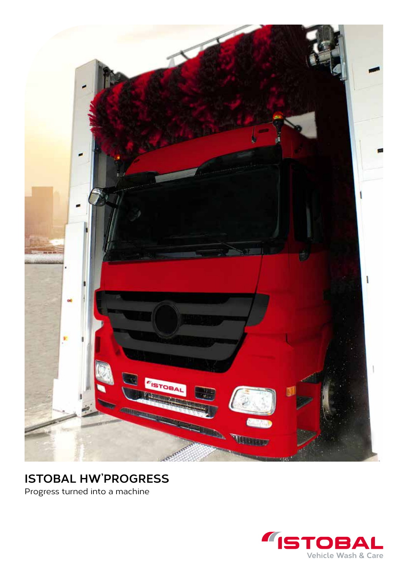

## **ISTOBAL HW'PROGRESS**

Progress turned into a machine

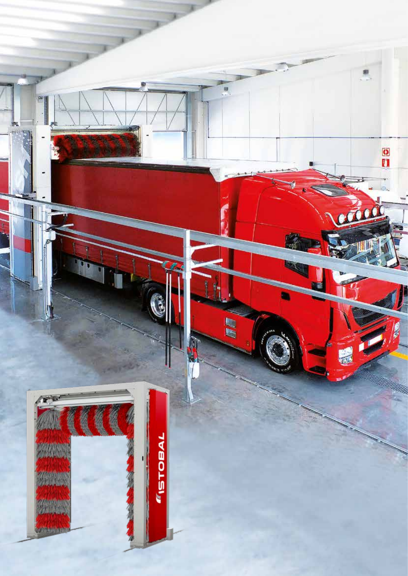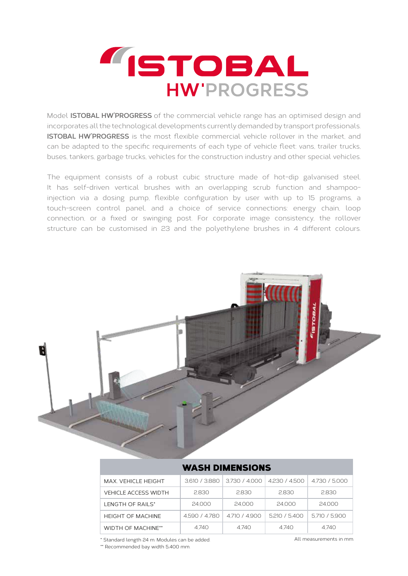![](_page_2_Picture_0.jpeg)

Model **ISTOBAL HW'PROGRESS** of the commercial vehicle range has an optimised design and incorporates all the technological developments currently demanded by transport professionals. **ISTOBAL HW'PROGRESS** is the most flexible commercial vehicle rollover in the market, and can be adapted to the specific requirements of each type of vehicle fleet: vans, trailer trucks, buses, tankers, garbage trucks, vehicles for the construction industry and other special vehicles.

The equipment consists of a robust cubic structure made of hot-dip galvanised steel. It has self-driven vertical brushes with an overlapping scrub function and shampooinjection via a dosing pump, flexible configuration by user with up to 15 programs, a touch-screen control panel, and a choice of service connections: energy chain, loop connection, or a fixed or swinging post. For corporate image consistency, the rollover structure can be customised in 23 and the polyethylene brushes in 4 different colours.

![](_page_2_Picture_3.jpeg)

| <b>WASH DIMENSIONS</b>      |               |               |               |               |
|-----------------------------|---------------|---------------|---------------|---------------|
| MAX. VEHICLE HEIGHT         | 3,610 / 3,880 | 3,730 / 4,000 | 4,230 / 4,500 | 4.730 / 5.000 |
| <b>VEHICLE ACCESS WIDTH</b> | 2.830         | 2.830         | 2.830         | 2.830         |
| LENGTH OF RAILS*            | 24,000        | 24.000        | 24,000        | 24,000        |
| <b>HEIGHT OF MACHINE</b>    | 4,590 / 4,780 | 4,710 / 4,900 | 5.210 / 5.400 | 5.710 / 5.900 |
| <b>WIDTH OF MACHINE**</b>   | 4.740         | 4.740         | 4.740         | 4.740         |

\* Standard length 24 m. Modules can be added. All measurements in mm

\*\* Recommended bay width 5,400 mm.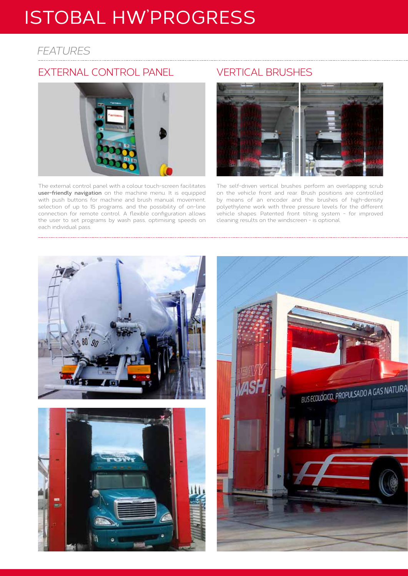# ISTOBAL HW'PROGRESS

## FEATURES

## EXTERNAL CONTROL PANEL VERTICAL BRUSHES

![](_page_3_Picture_3.jpeg)

The external control panel with a colour touch-screen facilitates **user-friendly navigation** on the machine menu. It is equipped with push buttons for machine and brush manual movement, selection of up to 15 programs, and the possibility of on-line connection for remote control. A flexible configuration allows the user to set programs by wash pass, optimising speeds on each individual pass.

![](_page_3_Picture_6.jpeg)

The self-driven vertical brushes perform an overlapping scrub on the vehicle front and rear. Brush positions are controlled by means of an encoder and the brushes of high-density polyethylene work with three pressure levels for the different vehicle shapes. Patented front tilting system - for improved cleaning results on the windscreen - is optional.

![](_page_3_Picture_8.jpeg)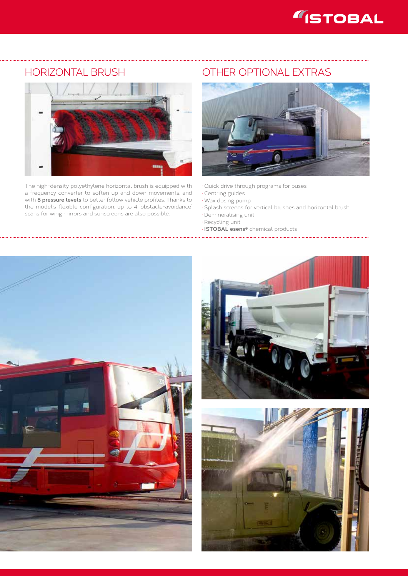## **"ISTOBAL**

![](_page_4_Picture_2.jpeg)

The high-density polyethylene horizontal brush is equipped with a frequency converter to soften up and down movements, and with **5 pressure levels** to better follow vehicle profiles. Thanks to the model's flexible configuration, up to 4 'obstacle-avoidance' scans for wing mirrors and sunscreens are also possible.

## HORIZONTAL BRUSH OTHER OPTIONAL EXTRAS

![](_page_4_Picture_5.jpeg)

• Quick drive through programs for buses

- Centring guides
- Wax dosing pump
- Splash screens for vertical brushes and horizontal brush
- Demineralising unit
- Recycling unit
- **ISTOBAL esens®** chemical products

![](_page_4_Picture_13.jpeg)

![](_page_4_Picture_14.jpeg)

![](_page_4_Picture_15.jpeg)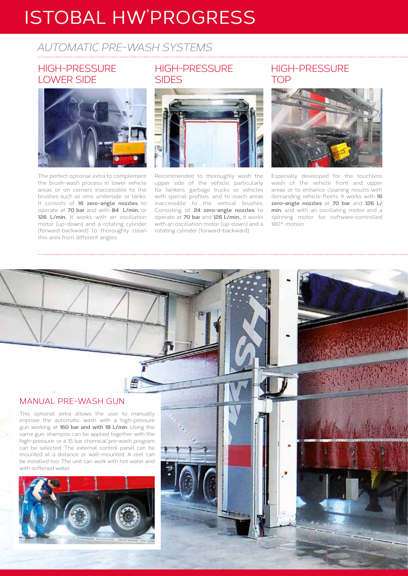# ISTOBAL HW'PROGRESS

## AUTOMATIC PRE-WASH SYSTEMS

## HIGH-PRESSURE LOWER SIDE

![](_page_5_Picture_3.jpeg)

The perfect optional extra to complement the brush-wash process in lower vehicle areas or on corners inaccessible to the brushes such as rims, underside, or tanks. It consists of **16 zero-angle nozzles** to operate at **70 bar** and with **84 L/min.** or **126 L/min.** It works with an oscillation motor (up-down) and a rotating cylinder (forward-backward) to thoroughly clean this area from different angles.

## HIGH-PRESSURE **SIDES**

![](_page_5_Picture_6.jpeg)

Recommended to thoroughly wash the upper side of the vehicle, particularly for tankers, garbage trucks or vehicles with special profiles, and to reach areas inaccessible to the vertical brushes. Consisting of **24 zero-angle nozzles** to operate at **70 bar** and **126 L/min.,** it works with an oscillation motor (up-down) and a rotating cylinder (forward-backward).

## HIGH-PRESSURE TOP

![](_page_5_Picture_9.jpeg)

Especially developed for the touchless wash of the vehicle front and upper areas or to enhance cleaning results with demanding vehicle fleets. It works with **16 zero-angle nozzles** at **70 bar** and **126 L/ min.** and with an oscillating motor and a spinning motor for software-controlled 180º motion.

#### MANUAL PRE-WASH GUN

This optional extra allows the user to manually improve the automatic wash with a high-pressure gun working at **160 bar and with 18 L/min**. Using the same gun, shampoo can be applied together with the high-pressure, or a 15 bar chemical pre-wash program can be selected. The external control panel can be mounted at a distance or wall-mounted. A reel can be installed too. The unit can work with hot water and with softened water

![](_page_5_Picture_13.jpeg)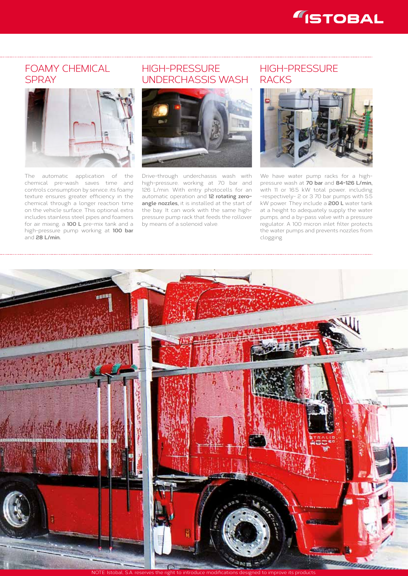## **"ISTOBAL**

### FOAMY CHEMICAL SPRAY

![](_page_6_Picture_2.jpeg)

The automatic application of the chemical pre-wash saves time and controls consumption by service; its foamy texture ensures greater efficiency in the chemical through a longer reaction time on the vehicle surface. This optional extra includes stainless steel pipes and foamers for air mixing, a **100 L** pre-mix tank and a high-pressure pump working at **100 bar**  and **28 L/min.**

#### HIGH-PRESSURE UNDERCHASSIS WASH

![](_page_6_Picture_5.jpeg)

Drive-through underchassis wash with high-pressure, working at 70 bar and 126 L/min. With entry photocells for an automatic operation and **12 rotating zero**angle nozzles, it is installed at the start of the bay. It can work with the same highpressure pump rack that feeds the rollover by means of a solenoid valve.

### HIGH-PRESSURE **RACKS**

![](_page_6_Picture_8.jpeg)

We have water pump racks for a highpressure wash at **70 bar** and **84-126 L/min,**  with 11 or 16.5 kW total power, including -respectively- 2 or 3 70 bar pumps with 5.5 kW power. They include a **200 L** water tank at a height to adequately supply the water pumps, and a by-pass valve with a pressure regulator. A 100 micron inlet filter protects the water pumps and prevents nozzles from clogging.

![](_page_6_Picture_10.jpeg)